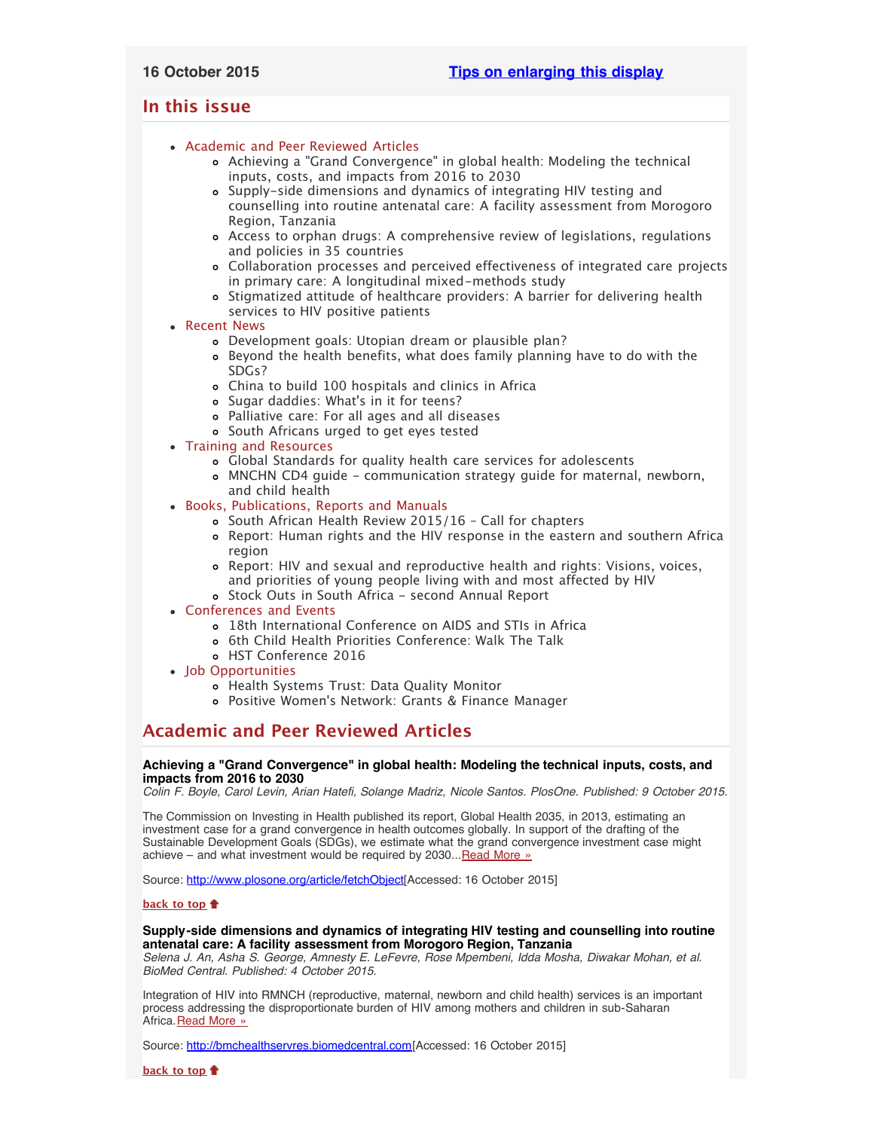# <span id="page-0-3"></span>**In this issue**

- [Academic and Peer Reviewed Articles](#page-0-0)
	- [Achieving a "Grand Convergence" in global health: Modeling the technical](#page-0-1) [inputs, costs, and impacts from 2016 to 2030](#page-0-1)
	- [Supply-side dimensions and dynamics of integrating HIV testing and](#page-0-2) [counselling into routine antenatal care: A facility assessment from Morogoro](#page-0-2) [Region, Tanzania](#page-0-2)
	- [Access to orphan drugs: A comprehensive review of legislations, regulations](#page-1-0) [and policies in 35 countries](#page-1-0)
	- [Collaboration processes and perceived effectiveness of integrated care projects](#page-1-1) [in primary care: A longitudinal mixed-methods study](#page-1-1)
	- [Stigmatized attitude of healthcare providers: A barrier for delivering health](#page-1-2) [services to HIV positive patients](#page-1-2)
- [Recent News](#page-1-3)
	- [Development goals: Utopian dream or plausible plan?](#page-1-4)
	- [Beyond the health benefits, what does family planning have to do with the](#page-1-5) [SDGs?](#page-1-5)
	- [China to build 100 hospitals and clinics in Africa](#page-1-6)
	- [Sugar daddies: What](#page-1-7)'s in it for teens?
	- [Palliative care: For all ages and all diseases](#page-2-0)
	- [South Africans urged to get eyes tested](#page-2-1)
- [Training and Resources](#page-2-2)
	- [Global Standards for quality health care services for adolescents](#page-2-3)
	- [MNCHN CD4 guide communication strategy guide for maternal, newborn,](#page-2-4) [and child health](#page-2-4)
- [Books, Publications, Reports and Manuals](#page-2-5)
	- [South African Health Review 2015/16 Call for chapters](#page-2-6)
	- [Report: Human rights and the HIV response in the eastern and southern Africa](#page-2-7) [region](#page-2-7)
	- [Report: HIV and sexual and reproductive health and rights: Visions, voices,](#page-2-8) [and priorities of young people living with and most affected by HIV](#page-2-8) [Stock Outs in South Africa - second Annual Report](#page-3-0)
- [Conferences and Events](#page-3-1)
	- [18th International Conference on AIDS and STIs in Africa](#page-3-2)
	- [6th Child Health Priorities Conference: Walk The Talk](#page-3-3)
	- [HST Conference 2016](#page-3-4)
- [Job Opportunities](#page-3-5)
	- [Health Systems Trust: Data Quality Monitor](#page-3-6)
	- Positive Women['s Network: Grants & Finance Manager](#page-3-7)

# <span id="page-0-0"></span>**Academic and Peer Reviewed Articles**

## <span id="page-0-1"></span>**Achieving a "Grand Convergence" in global health: Modeling the technical inputs, costs, and impacts from 2016 to 2030**

*Colin F. Boyle, Carol Levin, Arian Hatefi, Solange Madriz, Nicole Santos. PlosOne. Published: 9 October 2015.*

The Commission on Investing in Health published its report, Global Health 2035, in 2013, estimating an investment case for a grand convergence in health outcomes globally. In support of the drafting of the Sustainable Development Goals (SDGs), we estimate what the grand convergence investment case might achieve – and what investment would be required by 2030... [Read More »](http://www.plosone.org/article/fetchObject.action?uri=info%3Adoi%2F10.1371%2Fjournal.pone.0140092&representation=PDF)

Source: [http://www.plosone.org/article/fetchObject](http://www.plosone.org/article/fetchObject.action?uri=info%3Adoi%2F10.1371%2Fjournal.pone.0140092&representation=PDF)[Accessed: 16 October 2015]

## **[back to top](#page-0-3)**

## <span id="page-0-2"></span>**Supply-side dimensions and dynamics of integrating HIV testing and counselling into routine antenatal care: A facility assessment from Morogoro Region, Tanzania**

*Selena J. An, Asha S. George, Amnesty E. LeFevre, Rose Mpembeni, Idda Mosha, Diwakar Mohan, et al. BioMed Central. Published: 4 October 2015.*

Integration of HIV into RMNCH (reproductive, maternal, newborn and child health) services is an important process addressing the disproportionate burden of HIV among mothers and children in sub-Saharan Africa. [Read More »](http://bmchealthservres.biomedcentral.com/articles/10.1186/s12913-015-1111-x)

Source: [http://bmchealthservres.biomedcentral.com](http://bmchealthservres.biomedcentral.com/articles/10.1186/s12913-015-1111-x)[Accessed: 16 October 2015]

**[back to top](#page-0-3)**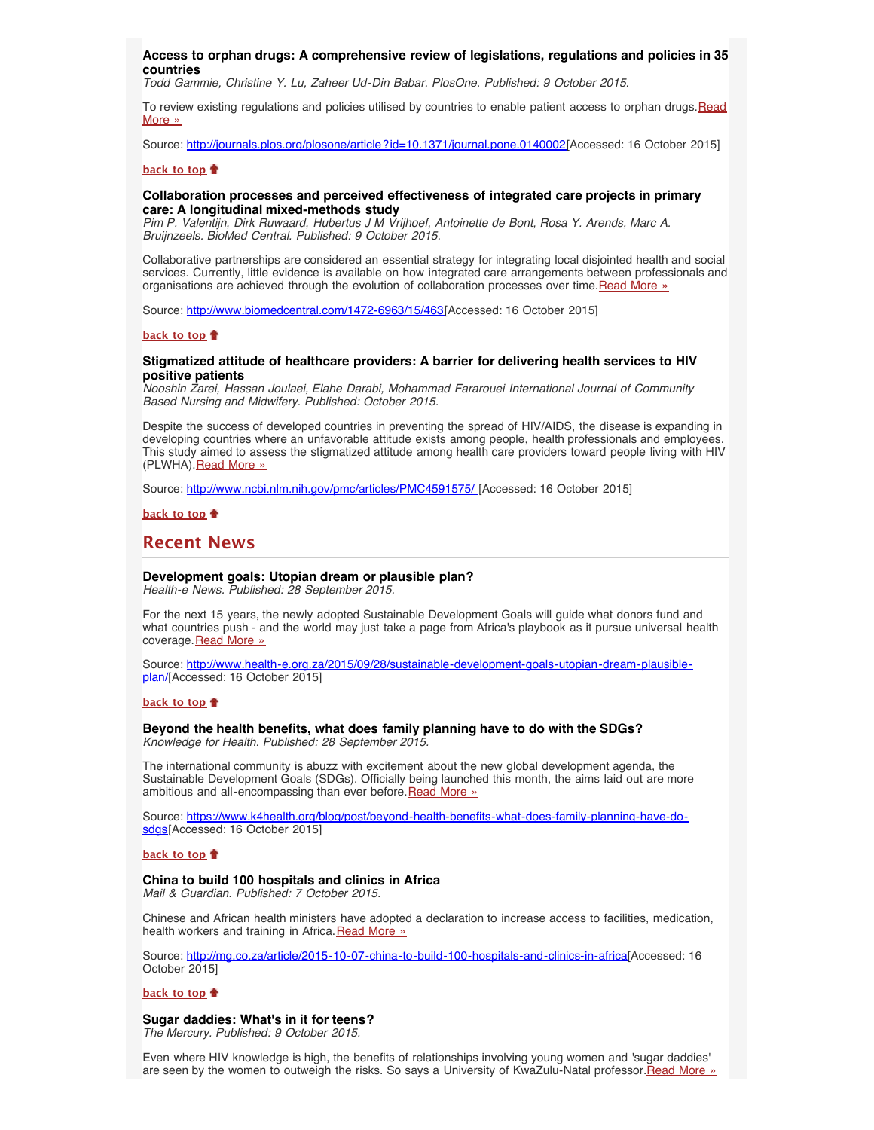#### <span id="page-1-0"></span>**Access to orphan drugs: A comprehensive review of legislations, regulations and policies in 35 countries**

*Todd Gammie, Christine Y. Lu, Zaheer Ud-Din Babar. PlosOne. Published: 9 October 2015.*

To review existing regulations and policies utilised by countries to enable patient access to orphan drugs. [Read](http://journals.plos.org/plosone/article?id=10.1371/journal.pone.0140002) [More »](http://journals.plos.org/plosone/article?id=10.1371/journal.pone.0140002)

Source: <http://journals.plos.org/plosone/article?id=10.1371/journal.pone.0140002>[Accessed: 16 October 2015]

#### **[back to top](#page-0-3)**

## <span id="page-1-1"></span>**Collaboration processes and perceived effectiveness of integrated care projects in primary care: A longitudinal mixed-methods study**

*Pim P. Valentijn, Dirk Ruwaard, Hubertus J M Vrijhoef, Antoinette de Bont, Rosa Y. Arends, Marc A. Bruijnzeels. BioMed Central. Published: 9 October 2015.*

Collaborative partnerships are considered an essential strategy for integrating local disjointed health and social services. Currently, little evidence is available on how integrated care arrangements between professionals and organisations are achieved through the evolution of collaboration processes over time.[Read More »](http://www.biomedcentral.com/1472-6963/15/463)

Source: [http://www.biomedcentral.com/1472-6963/15/463\[](http://www.biomedcentral.com/1472-6963/15/463)Accessed: 16 October 2015]

### **[back to top](#page-0-3)**

## <span id="page-1-2"></span>**Stigmatized attitude of healthcare providers: A barrier for delivering health services to HIV positive patients**

*Nooshin Zarei, Hassan Joulaei, Elahe Darabi, Mohammad Fararouei International Journal of Community Based Nursing and Midwifery. Published: October 2015.*

Despite the success of developed countries in preventing the spread of HIV/AIDS, the disease is expanding in developing countries where an unfavorable attitude exists among people, health professionals and employees. This study aimed to assess the stigmatized attitude among health care providers toward people living with HIV (PLWHA). [Read More »](http://www.ncbi.nlm.nih.gov/pmc/articles/PMC4591575/)

Source: [http://www.ncbi.nlm.nih.gov/pmc/articles/PMC4591575/ \[](http://www.ncbi.nlm.nih.gov/pmc/articles/PMC4591575/)Accessed: 16 October 2015]

**[back to top](#page-0-3)**

## <span id="page-1-3"></span>**Recent News**

#### <span id="page-1-4"></span>**Development goals: Utopian dream or plausible plan?**

*Health-e News. Published: 28 September 2015.*

For the next 15 years, the newly adopted Sustainable Development Goals will guide what donors fund and what countries push - and the world may just take a page from Africa's playbook as it pursue universal health coverage. [Read More »](http://www.hst.org.za/news/development-goals-utopian-dream-or-plausible-plan)

Source: [http://www.health-e.org.za/2015/09/28/sustainable-development-goals-utopian-dream-plausible](http://www.health-e.org.za/2015/09/28/sustainable-development-goals-utopian-dream-plausible-plan/)[plan/](http://www.health-e.org.za/2015/09/28/sustainable-development-goals-utopian-dream-plausible-plan/)[Accessed: 16 October 2015]

#### **[back to top](#page-0-3)**

## <span id="page-1-5"></span>**Beyond the health benefits, what does family planning have to do with the SDGs?**

*Knowledge for Health. Published: 28 September 2015.*

The international community is abuzz with excitement about the new global development agenda, the Sustainable Development Goals (SDGs). Officially being launched this month, the aims laid out are more ambitious and all-encompassing than ever before. [Read More »](http://www.hst.org.za/news/beyond-health-benefits-what-does-family-planning-have-do-sdgs)

Source: [https://www.k4health.org/blog/post/beyond-health-benefits-what-does-family-planning-have-do](https://www.k4health.org/blog/post/beyond-health-benefits-what-does-family-planning-have-do-sdgs)[sdgs](https://www.k4health.org/blog/post/beyond-health-benefits-what-does-family-planning-have-do-sdgs)[Accessed: 16 October 2015]

#### **[back to top](#page-0-3)**

#### <span id="page-1-6"></span>**China to build 100 hospitals and clinics in Africa**

*Mail & Guardian. Published: 7 October 2015.*

Chinese and African health ministers have adopted a declaration to increase access to facilities, medication, health workers and training in Africa. [Read More »](http://www.hst.org.za/news/china-build-100-hospitals-and-clinics-africa)

Source: [http://mg.co.za/article/2015-10-07-china-to-build-100-hospitals-and-clinics-in-africa\[](http://mg.co.za/article/2015-10-07-china-to-build-100-hospitals-and-clinics-in-africa)Accessed: 16 October 2015]

#### **[back to top](#page-0-3)**

#### <span id="page-1-7"></span>**Sugar daddies: What's in it for teens?**

*The Mercury. Published: 9 October 2015.*

Even where HIV knowledge is high, the benefits of relationships involving young women and 'sugar daddies' are seen by the women to outweigh the risks. So says a University of KwaZulu-Natal professor. Read More »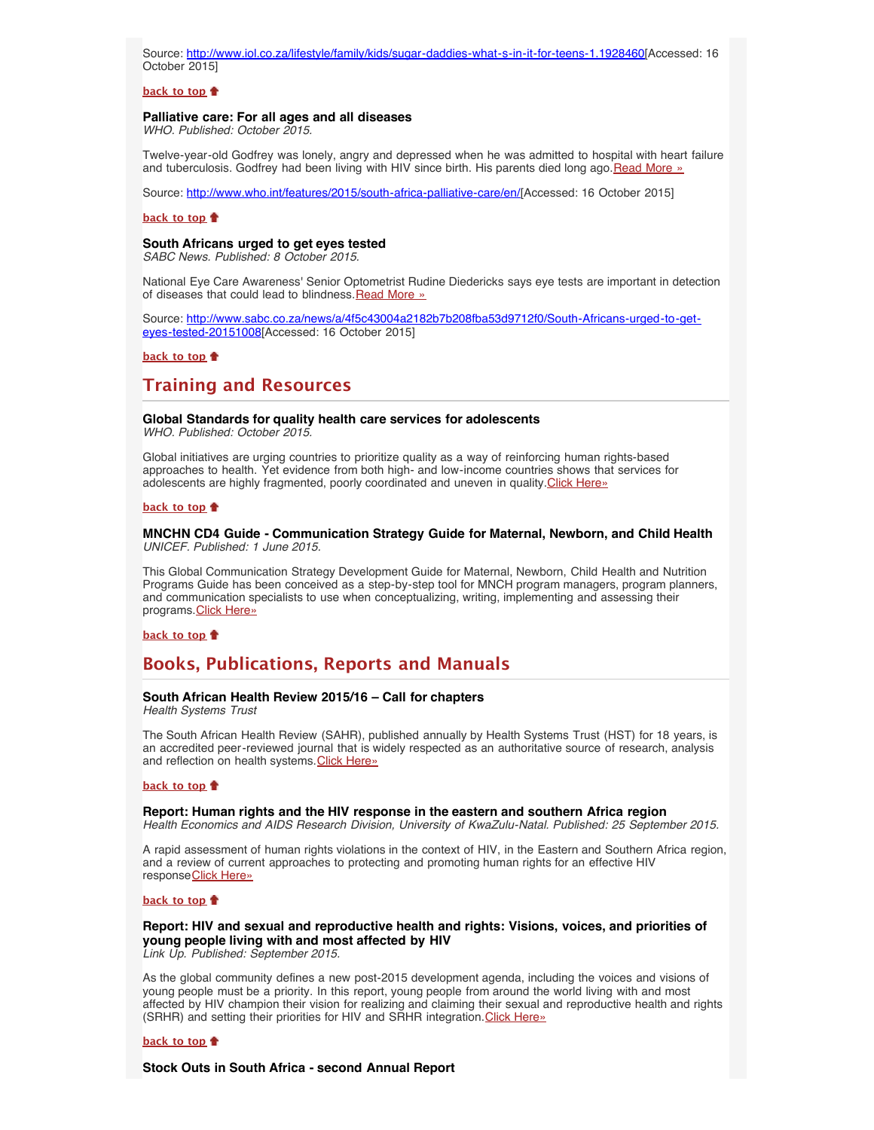Source: [http://www.iol.co.za/lifestyle/family/kids/sugar-daddies-what-s-in-it-for-teens-1.1928460\[](http://www.iol.co.za/lifestyle/family/kids/sugar-daddies-what-s-in-it-for-teens-1.1928460)Accessed: 16 October 2015]

## **[back to top](#page-0-3)**

# <span id="page-2-0"></span>**Palliative care: For all ages and all diseases**

*WHO. Published: October 2015.*

Twelve-year-old Godfrey was lonely, angry and depressed when he was admitted to hospital with heart failure and tuberculosis. Godfrey had been living with HIV since birth. His parents died long ago. [Read More »](http://www.hst.org.za/news/palliative-care-all-ages-and-all-diseases)

Source: [http://www.who.int/features/2015/south-africa-palliative-care/en/\[](http://www.who.int/features/2015/south-africa-palliative-care/en/)Accessed: 16 October 2015]

### **[back to top](#page-0-3)**

#### <span id="page-2-1"></span>**South Africans urged to get eyes tested**

*SABC News. Published: 8 October 2015.*

National Eye Care Awareness' Senior Optometrist Rudine Diedericks says eye tests are important in detection of diseases that could lead to blindness. [Read More »](http://www.hst.org.za/news/south-africans-urged-get-eyes-tested)

Source: [http://www.sabc.co.za/news/a/4f5c43004a2182b7b208fba53d9712f0/South-Africans-urged-to-get](http://www.sabc.co.za/news/a/4f5c43004a2182b7b208fba53d9712f0/South-Africans-urged-to-get-eyes-tested-20151008)[eyes-tested-20151008](http://www.sabc.co.za/news/a/4f5c43004a2182b7b208fba53d9712f0/South-Africans-urged-to-get-eyes-tested-20151008)[Accessed: 16 October 2015]

**[back to top](#page-0-3)**

# <span id="page-2-2"></span>**Training and Resources**

### <span id="page-2-3"></span>**Global Standards for quality health care services for adolescents**

*WHO. Published: October 2015.*

Global initiatives are urging countries to prioritize quality as a way of reinforcing human rights-based approaches to health. Yet evidence from both high- and low-income countries shows that services for adolescents are highly fragmented, poorly coordinated and uneven in quality. [Click Here»](http://www.who.int/maternal_child_adolescent/documents/global-standards-adolescent-care/en/)

#### **[back to top](#page-0-3)**

#### <span id="page-2-4"></span>**MNCHN CD4 Guide - Communication Strategy Guide for Maternal, Newborn, and Child Health** *UNICEF. Published: 1 June 2015.*

This Global Communication Strategy Development Guide for Maternal, Newborn, Child Health and Nutrition Programs Guide has been conceived as a step-by-step tool for MNCH program managers, program planners, and communication specialists to use when conceptualizing, writing, implementing and assessing their programs. [Click Here»](http://www.unicef.org/cbsc/index_65738.html#tabs-1)

#### **[back to top](#page-0-3)**

# <span id="page-2-5"></span>**Books, Publications, Reports and Manuals**

## <span id="page-2-6"></span>**South African Health Review 2015/16 – Call for chapters**

*Health Systems Trust*

The South African Health Review (SAHR), published annually by Health Systems Trust (HST) for 18 years, is an accredited peer-reviewed journal that is widely respected as an authoritative source of research, analysis and reflection on health systems. [Click Here»](http://www.hst.org.za/news/south-african-health-review-201516-call-chapters)

#### **[back to top](#page-0-3)**

#### <span id="page-2-7"></span>**Report: Human rights and the HIV response in the eastern and southern Africa region** *Health Economics and AIDS Research Division, University of KwaZulu-Natal. Published: 25 September 2015.*

A rapid assessment of human rights violations in the context of HIV, in the Eastern and Southern Africa region, and a review of current approaches to protecting and promoting human rights for an effective HIV response [Click Here»](http://www.heard.org.za/publications-post/human-rights-and-the-hiv-response-eastern-and-southern-africa-region/)

#### **[back to top](#page-0-3)**

## <span id="page-2-8"></span>**Report: HIV and sexual and reproductive health and rights: Visions, voices, and priorities of young people living with and most affected by HIV**

*Link Up. Published: September 2015.*

As the global community defines a new post-2015 development agenda, including the voices and visions of young people must be a priority. In this report, young people from around the world living with and most affected by HIV champion their vision for realizing and claiming their sexual and reproductive health and rights (SRHR) and setting their priorities for HIV and SRHR integration. [Click Here»](http://www.aidsalliance.org/assets/000/001/588/LinkUpVVP_original.pdf?1424964366)

#### **[back to top](#page-0-3)**

**Stock Outs in South Africa - second Annual Report**